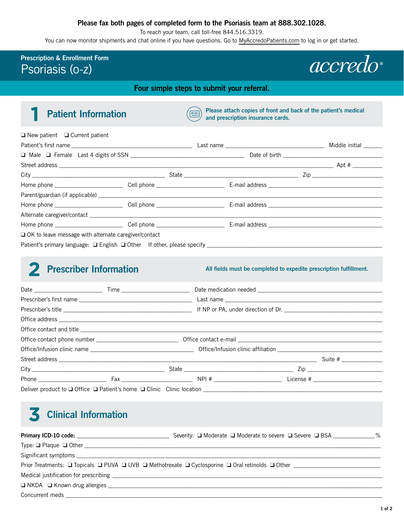#### **Please fax both pages of completed form to the Psoriasis team at 888.302.1028.**

To reach your team, call toll-free 844.516.3319.

You can now monitor shipments and chat online if you have questions. Go to [MyAccredoPatients.com](https://prescribers.accredo.com/frontend/apw/login) to log in or get started.

### **Prescription & Enrollment Form** Psoriasis (o-z)

*accredo* 

**Four simple steps to submit your referral.**

#### **Patient Information** 1

**Please attach copies of front and back of the patient's medical**   $E =$ **and prescription insurance cards.** 

| $\Box$ New patient $\Box$ Current patient                   |  |  |
|-------------------------------------------------------------|--|--|
|                                                             |  |  |
|                                                             |  |  |
|                                                             |  |  |
|                                                             |  |  |
|                                                             |  |  |
|                                                             |  |  |
|                                                             |  |  |
|                                                             |  |  |
|                                                             |  |  |
| $\Box$ OK to leave message with alternate caregiver/contact |  |  |
|                                                             |  |  |

# **Prescriber Information**  2

**All fields must be completed to expedite prescription fulfillment.** 

|  |  | Suite # $\frac{1}{2}$ |
|--|--|-----------------------|
|  |  |                       |
|  |  |                       |
|  |  |                       |

# **Clinical Information** 3

| Severity: □ Moderate □ Moderate to severe □ Severe □ BSA 2000 %                                                                     |
|-------------------------------------------------------------------------------------------------------------------------------------|
|                                                                                                                                     |
|                                                                                                                                     |
| Prior Treatments: $\Box$ Topicals $\Box$ PUVA $\Box$ UVB $\Box$ Methotrexate $\Box$ Cyclosporine $\Box$ Oral retinolds $\Box$ Other |
|                                                                                                                                     |
|                                                                                                                                     |
|                                                                                                                                     |